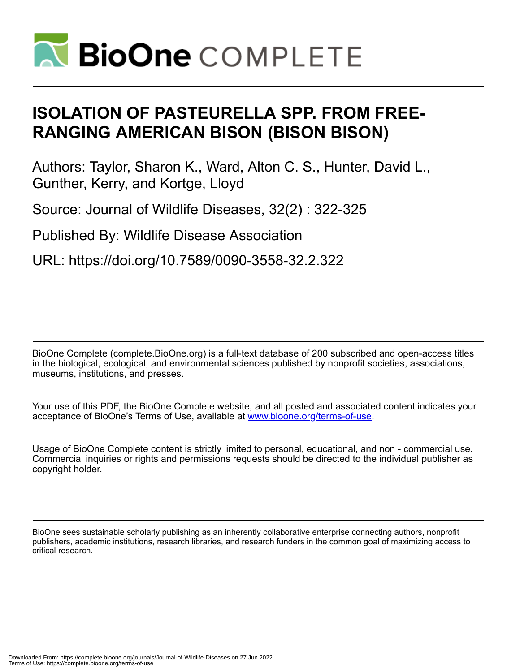

# **ISOLATION OF PASTEURELLA SPP. FROM FREE-RANGING AMERICAN BISON (BISON BISON)**

Authors: Taylor, Sharon K., Ward, Alton C. S., Hunter, David L., Gunther, Kerry, and Kortge, Lloyd

Source: Journal of Wildlife Diseases, 32(2) : 322-325

Published By: Wildlife Disease Association

URL: https://doi.org/10.7589/0090-3558-32.2.322

BioOne Complete (complete.BioOne.org) is a full-text database of 200 subscribed and open-access titles in the biological, ecological, and environmental sciences published by nonprofit societies, associations, museums, institutions, and presses.

Your use of this PDF, the BioOne Complete website, and all posted and associated content indicates your acceptance of BioOne's Terms of Use, available at www.bioone.org/terms-of-use.

Usage of BioOne Complete content is strictly limited to personal, educational, and non - commercial use. Commercial inquiries or rights and permissions requests should be directed to the individual publisher as copyright holder.

BioOne sees sustainable scholarly publishing as an inherently collaborative enterprise connecting authors, nonprofit publishers, academic institutions, research libraries, and research funders in the common goal of maximizing access to critical research.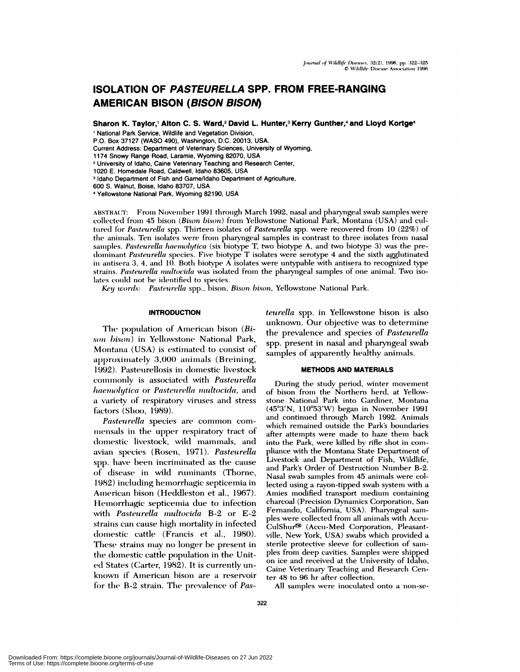# **ISOLATION OF PASTEURELLA SPP. FROM FREE-RANGING AMERICAN BISON (BISON BISON)**

**Sharon K. Taylor,1 Aiton C. S. Ward,2 David L. Hunter,3** Kerry **Gunther,4 and Lloyd Kortge4**

<sup>1</sup> National Park Service, Wildlife and Vegetation Division,

P.O. Box 37127 (WASO 490), Washington, D.C. 20013, USA.

Current Address: Department of Veterinary Sciences, University of Wyoming,

1174 Snowy Range Road, Laramie, Wyoming **82070, USA**

**<sup>2</sup>** University of Idaho, Caine Vetennary Teaching and Research Center,

1020 E.Homedale Road, Caldwell, Idaho 83605, USA

<sup>3</sup> Idaho Department of Fish and Game/Idaho Department of Agriculture,

600 S. Walnut, Boise, Idaho 83707, USA

Yellowstone National Park, Wyoming 82190, USA

ABSTRACT: From November 1991 through March 1992, nasal and pharyngeal swab samples were collected fronm 45 bisomi *(Bison bison)* from Yellowstone National Park, Montana (USA) and cultured for *Pasteurella* spp. Thirteen isolates of *Pasteurella* spp. were recovered from 10 (22%) of the animals. Ten isolates were from pharyngeal samples in contrast to three isolates from nasal sammiples. *Pasteurella haemolytica* (six biotype T, two biotype A, and two biotype 3) was the predominant *Pasteurella* species. Five biotype T isolates were serotype 4 and the sixth agglutinated in antisera 3, 4, and 10. Both biotype A isolates were untypable with antisera to recognized type strains. Pasteurella multocida was isolated from the pharyngeal samples of one animal. Two isolates could not be identified to species.

*Key words:* Pasteurella spp., bison, *Bison bison*, Yellowstone National Park.

# **INTRODUCTiON**

The population of American bison *(Bison bison)* in Yellowstone National Park, Montana (USA) is estimated to consist of approximately 3,000 animals (Breining, 1992). Pasteurellosis in domestic livestock commonly is associated with *Pasteurella haemolytica* or *Pasteu rella multocida,* and a variety of respiratory viruses and stress factors (Shoo, 1989).

*Pasteurella* species are common commensals in the upper respiratory tract of domestic livestock, wild mammals, and avian species (Rosen, 1971). *Pasteurella* spp. have been incriminated as the cause of disease in wild ruminants (Thorne, 1982) including hemorrhagic septicemia in American bison (Heddleston et al., 1967). Hemorrhagic septicemia due to infection with *Pasteurella multocida* B-2 or E-2 strains can cause high mortality in infected domestic cattle (Francis et al., 1980). These strains may no longer be present in the domestic cattle population in the Unit**ed!** States (Carter, 1982). It is currently un known if American bison are a reservoir for the B-2 strain. The prevalence of *Pas-* *teurella* spp. in Yellowstone bison is also unknown. Our objective was to determine the prevalence and species of *Pasteurella* spp. present in nasal and pharyngeal swab samples of apparently healthy animals.

#### **METHODS AND MATERIALS**

During the study period, winter movement of bison from the Northern herd, at Yellowstone National Park into Gardiner, Montana (45°3'N, 110°53'W) began in November 1991 and continued through March 1992. Animals which remained outside the Park's boundaries after attempts were made to haze them back into the Park, were killed by rifle shot in comphiance with the Montana State Department of Livestock and Department of Fish, Wildlife, and Park's Order of Destruction Number B-2. Nasal swab samples from 45 animals were collected using a rayon-tipped swab system with a Amies modified transport medium containing charcoal (Precision Dynamics Corporation, San Fernando, California, USA). Pharyngeal sam ples were collected from all animals with Accu-CulShur<sup>®</sup> (Accu-Med Corporation, Pleasantville, New York, USA) swabs which provided a sterile protective sleeve for collection of samples from deep cavities. Samples were shipped on ice and received at the University of Idaho, Caine Veterinary Teaching and Research Center 48 to 96 hr after collection.

All samples were inoculated onto a non-se-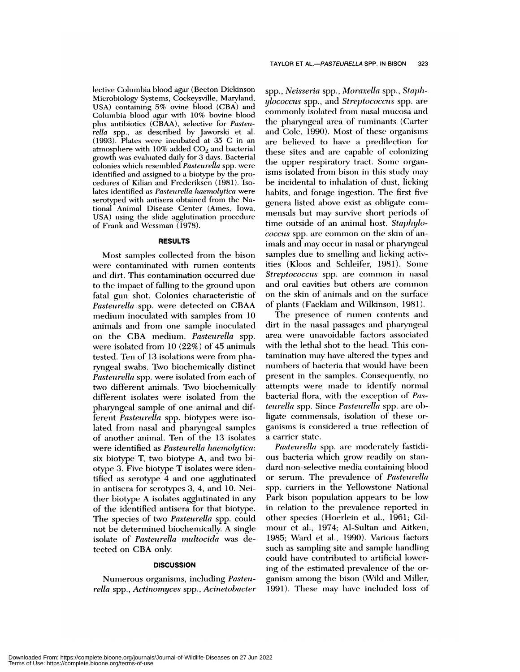lective Columbia blood agar (Becton Dickinson Microbiology Systems, Cockeysville, Maryland, USA) containing 5% ovine blood (CBA) and Colunmbia blood agar with 10% bovine blood plus antibiotics (CBAA), selective for *Pasteurella* spp., as described by Jaworski et al. (1993). Plates were incuibated at 35 C in an atmosphere with  $10\%$  added  $CO<sub>2</sub>$  and bacterial growth was evaluated daily for 3 days. Bacterial colonies which resembled *Pasteurella* spp. were identified and assigned to a biotype by the procedures of Kilian and Frederiksen (1981). Isolates identified as *Pasteurella haemolytica* were serotyped with antisera obtained from the National Animal Disease Center (Ames, Iowa, USA) using the slide agglutination procedure of Frank and Wessrnan (1978).

#### **RESULTS**

Most samples collected from the bison were contaminated with rumen contents and dirt. This contamination occurred due to the impact of falling to the ground upon fatal gun shot. Colonies characteristic of *Pasteurella* spp. were detected on CBAA medium inoculated with samples from 10 animals and from one sample inoculated on the CBA medium. *Pasteurella* spp. were isolated from 10 (22%) of 45 animals tested. Ten of 13 isolations were from pharyngeal swabs. Two biochemically distinct Pasteurella spp. were isolated from each of two different animals. Two biochemically different isolates were isolated from the pharyngeal sample of one animal and different *Pasteurella* spp. biotypes were isolated from nasal and pharyngeal samples of another animal. Ten of the 13 isolates were identified as *Pasteurella haenwlytica:* six biotype T, two biotype A, and two biotype 3. Five biotype T isolates were identified as serotype 4 and one agglutinated in antisera for serotypes 3, 4, and 10. Neither biotype A isolates agglutinated in any of the identified antisera for that biotype. The species of two *Pasteurella* spp. could not be determined biochemically. A single isolate of *Pasteurella multocida* was detected on CBA only.

# **DISCUSSION**

Numerous organisms, including *Pasteurella* spp., *Actinomyces* spp., *Acinetohacter* spp. , *Neisseria* spp., *Moraxella* spp. , *Staphylococcus* spp. , and *Streptococcus* spp. are commonly isolated from nasal mucosa and the pharyngeal area of ruminants (Carter and Cole, 1990). Most of these organisms are believed to have a predilection for these sites and are capable of colonizing the upper respiratory tract. Some organisms isolated from bison in this study may be incidental to inhalation of dust, licking habits, and forage ingestion. The first five genera listed above exist as obligate commensals but may survive short periods of time outside of an animal host. *Staphylococcus* spp. are common on the skin of animals and may occur in nasal or pharyngeal samples due to smelling and licking activities (Kloos and Schleifer, 1981). Some *Streptococcus* spp. are common in nasal and oral cavities but others are common on the skin of animals and on the surface of plants (Facklam and Wilkinson, 1981).

The presence of rumen contents and dirt in the nasal passages and pharyngeal area were unavoidable factors associated with the lethal shot to the head. This contamination may have altered the types and numbers of bacteria that would have been present in the samples. Consequently, no attempts were made to identify normal bacterial flora, with the exception of *Pasteurella* spp. Since *Pasteurella* spp. are obligate commensals, isolation of these ganisnms is considered a true reflection of a carrier state.

Pasteurella spp. are moderately fastidious bacteria which grow readily on standard non-selective media containing blood or serum. The prevalence of *Pasteurella* spp. carriers in the Yellowstone National Park bison population appears to be low in relation to the prevalence reported in other species (Hoerlein et al., 1961; Gilmmmour et al., 1974; Al-Sultan and Aitken, 1985; Ward et al., 1990). Various factors such as sampling site and sample handling could have contributed to artificial lowering of the estimated prevalence of the or ganism among the bison (Wild and Miller, 1991). These may have included loss of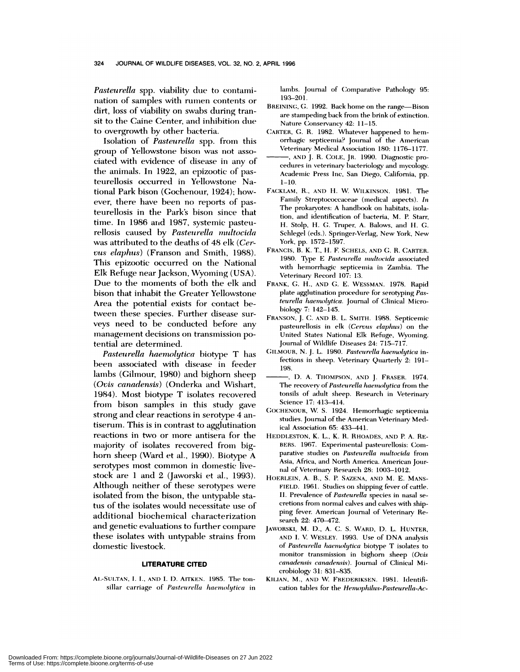*Pasteurella* spp. viability due to contamination of samples with rumen contents or dirt, loss of viability on swabs during tran sit to the Caine Center, and inhibition due to overgrowth by other bacteria.

Isolation of Pasteurella spp. from this group of Yellowstone bison was not associated with evidence of disease in any of the animals. In 1922, an epizootic of pasteurellosis occurred in Yellowstone National Park bison (Gochenour, 1924); how ever, there have been no reports of pasteurellosis in the Park's bison since that time. In 1986 and 1987, systemic pasteurellosis caused by *Pasteurella multocida* was attributed to the deaths of 48 elk *(Cer vus ebaphus)* (Franson and Smith, 1988). This epizootic occurred on the National Elk Refuge near Jackson, Wyoming (USA). Due to the moments of both the elk and bison that inhabit the Greater Yellowstone Area the potential exists for contact between these species. Further disease surveys need to be conducted before any management decisions on transmission potential are determined.

*Pasteur-elba haemobytica* biotype T has been associated with disease in feeder lambs (Gilmour, 1980) and bighorn sheep *(Ovis canadensis)* (Onderka and Wishmart, 1984). Most biotype T isolates recovered from bison samples in this study gave strong and clear reactions in serotype 4 antiserum. This is in contrast to agglutination reactions in two or more antisera for the majority of isolates recovered from bighorn sheep (Ward et al., 1990). Biotype A serotypes most common in domestic livestock are 1 and 2 (Jaworski et al., 1993). Although neither of these serotypes were isolated from the bison, the untypable status of the isolates would necessitate use of additional biochemical characterization and genetic evaluations to further compare these isolates with untypable strains from domestic livestock.

# **LITERATURE CITED**

AI.-SULTAN, I. I., **ANI) I. I). AITKEN. 1985.** The ton sillar carriage of *Pasteurella haemolytica* in lambs. Journal of Comparative Pathology 95: 193-201.

- BREINING, G. 1992. Back home on the range-Bison are stampeding back from the brink of extinction. Nature Conservancy 42: 11-15.
- CARTER, G. R. 1982. Whatever happened to hemorrhagic septicemia? Journal of the American Veterinary Medical Association 180: 1176-1177.
- , **AND** J. R. CoLE, JR. 1990. Diagnostic pro cedures in veterinary bacteriology and mycology. Academic Press Inc. San Diego, California, pp. **1-10.**
- FACKLAM, R., AND H. W. WILKINSON. 1981. The Family Streptococcaceae (medical aspects). *In* The prokaryotes: A handbook on habitats, isolation, and identification of bacteria, M. P. Starr, H. Stolp, H. G. Truper, A. Balows, and H. G. Schlegel (eds.). Springer-Verlag, New York, New York, pp. 1572-1597.
- FRANCIS, B. K. T, H. F. SCHELS, AND C. R.CARTER. 1980. Type E Pasteurella multocida associated with hemorrhagic septicemia in Zambia. The Veterinary Record 107: 13.
- FRANK, C. H., AND C. E. WESSMAN. 1978. Rapid plate agglutination procedure for serotyping *Pasteurella haemolytica.* Journal of Clinical Microbiology 7: 142-145.
- FRANSON, J. C. AND B. L. SMITH. 1988. Septicemic pasteurellosis in elk (Cervus elaphus) on the United States National Elk Refuge, Wyoming. Journal of Wildlife Diseases 24: 715-717.
- GILMOUR, N. J. L. 1980. Pasteurella haemolytica infections in sheep. Veterinary Quarterly 2: 191-198.
- D. A. THOMPSON, ANI) J. FRASER. 1974. The recovery of *Pasteurella haemolytica* from the tonsils of adult sheep. Research in Veterinary Science **17: 413-414.**
- (;0cHEN0UR, W. S. 1924. Hemorrhagic septicemia studies. Journal of the American Veterinary Medical Association 65: 433-441.
- HEDDLESTON, K. L., K. R. RHOADES, AND P. A. RE- BERS. 1967. Experimental pasteurellosis: Comparative studies on *Pasteurella multocida* from Asia, Africa, and North America. American Journal of Veterinary Research 28: 1003-1012.
- HOERLEIN, A. B., S. P. SAZENA, ANI) M. E. **MANS-** FIELD. 1961. Studies on shipping fever of cattle. II. Prevalence of *Pasteurella* species in nasal se cretions from nornmal calves and calves with shipping fever. American Journal of Veterinary Re search 22: 470-472.
- JAWORSKI, M. D., A. C. S. WARD, D. L. HUNTER, AND I. V. WESLEY. 1993. Use of DNA analysis of *Pasteurella haenwlytica* biotype T isolates to monitor transmission in bighorn sheep *(Ovis canadensis canaden.sis).* Journal of Clinical Mi crobiology 31: 831-835.
- KILIAN, M., AND W. FREDERIKSEN. 1981. Identifi cation tables for the *Hemophilus-Pasteurella-Ac-*